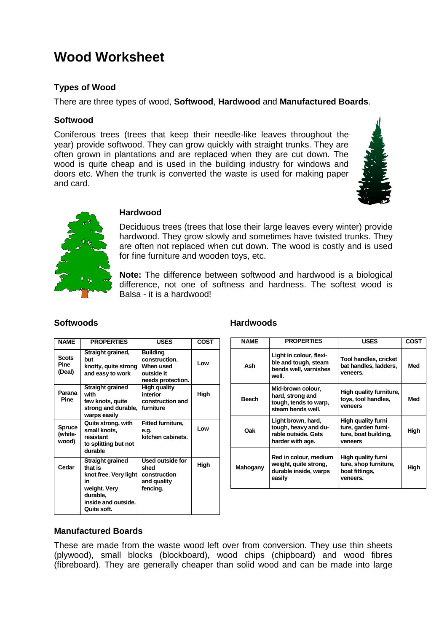# **Wood Worksheet**

### **Types of Wood**

There are three types of wood, **Softwood**, **Hardwood** and **Manufactured Boards**.

#### **Softwood**

Coniferous trees (trees that keep their needle-like leaves throughout the year) provide softwood. They can grow quickly with straight trunks. They are often grown in plantations and are replaced when they are cut down. The wood is quite cheap and is used in the building industry for windows and doors etc. When the trunk is converted the waste is used for making paper and card.





#### **Hardwood**

Deciduous trees (trees that lose their large leaves every winter) provide hardwood. They grow slowly and sometimes have twisted trunks. They are often not replaced when cut down. The wood is costly and is used for fine furniture and wooden toys, etc.

**Note:** The difference between softwood and hardwood is a biological difference, not one of softness and hardness. The softest wood is Balsa - it is a hardwood!

| <b>NAME</b>                           | <b>PROPERTIES</b>                                                                                                            | <b>USES</b>                                                                      | <b>COST</b> |
|---------------------------------------|------------------------------------------------------------------------------------------------------------------------------|----------------------------------------------------------------------------------|-------------|
| <b>Scots</b><br><b>Pine</b><br>(Deal) | Straight grained,<br>but<br>knotty, quite strong<br>and easy to work                                                         | <b>Building</b><br>construction.<br>When used<br>outside it<br>needs protection. | Low         |
| Parana<br><b>Pine</b>                 | Straight grained<br>with<br>few knots, quite<br>strong and durable,<br>warps easily                                          | High quality<br>interior<br>construction and<br>furniture                        | High        |
| <b>Spruce</b><br>(white-<br>wood)     | Quite strong, with<br>small knots,<br>resistant<br>to splitting but not<br>durable                                           | <b>Fitted furniture,</b><br>e.q.<br>kitchen cabinets.                            | Low         |
| Cedar                                 | Straight grained<br>that is<br>knot free. Very light<br>in<br>weight. Very<br>durable.<br>inside and outside.<br>Quite soft. | Used outside for<br>shed<br>construction<br>and quality<br>fencing.              | High        |

#### **Softwoods Hardwoods**

| <b>NAME</b>  | <b>PROPERTIES</b>                                                                     | <b>USES</b>                                                                  | COST |
|--------------|---------------------------------------------------------------------------------------|------------------------------------------------------------------------------|------|
| Ash          | Light in colour, flexi-<br>ble and tough, steam<br>bends well, varnishes<br>well.     | <b>Tool handles, cricket</b><br>bat handles, ladders,<br>veneers.            | Med  |
| <b>Beech</b> | Mid-brown colour,<br>hard, strong and<br>tough, tends to warp,<br>steam bends well.   | High quality furniture,<br>toys, tool handles,<br>veneers                    | Med  |
| Oak          | Light brown, hard,<br>tough, heavy and du-<br>rable outside. Gets<br>harder with age. | High quality furni<br>ture, garden furni-<br>ture, boat building,<br>veneers | High |
| Mahogany     | Red in colour, medium<br>weight, quite strong,<br>durable inside, warps<br>easily     | High quality furni<br>ture, shop furniture,<br>boat fittings,<br>veneers.    | High |

#### **Manufactured Boards**

These are made from the waste wood left over from conversion. They use thin sheets (plywood), small blocks (blockboard), wood chips (chipboard) and wood fibres (fibreboard). They are generally cheaper than solid wood and can be made into large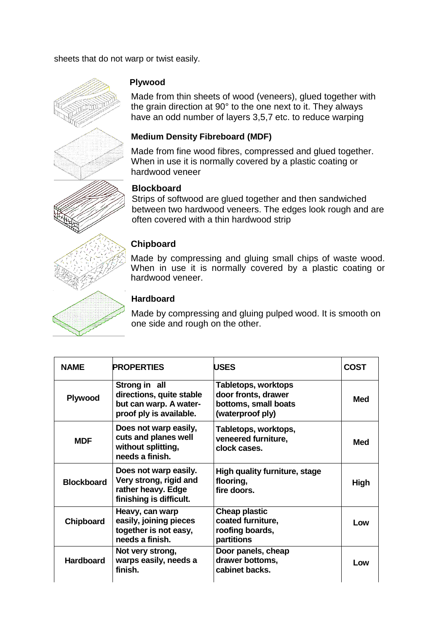sheets that do not warp or twist easily.



## **Plywood**

Made from thin sheets of wood (veneers), glued together with the grain direction at 90° to the one next to it. They always have an odd number of layers 3,5,7 etc. to reduce warping

# **Medium Density Fibreboard (MDF)**

Made from fine wood fibres, compressed and glued together. When in use it is normally covered by a plastic coating or hardwood veneer

# **Blockboard**

Strips of softwood are glued together and then sandwiched between two hardwood veneers. The edges look rough and are often covered with a thin hardwood strip

# **Chipboard**

Made by compressing and gluing small chips of waste wood. When in use it is normally covered by a plastic coating or hardwood veneer.

# **Hardboard**

Made by compressing and gluing pulped wood. It is smooth on one side and rough on the other.

| <b>NAME</b>       | <b>PROPERTIES</b>                                                                                | <b>USES</b>                                                                            | <b>COST</b> |
|-------------------|--------------------------------------------------------------------------------------------------|----------------------------------------------------------------------------------------|-------------|
| Plywood           | Strong in all<br>directions, quite stable<br>but can warp. A water-<br>proof ply is available.   | Tabletops, worktops<br>door fronts, drawer<br>bottoms, small boats<br>(waterproof ply) | Med         |
| <b>MDF</b>        | Does not warp easily,<br>cuts and planes well<br>without splitting,<br>needs a finish.           | Tabletops, worktops,<br>veneered furniture,<br>clock cases.                            | Med         |
| <b>Blockboard</b> | Does not warp easily.<br>Very strong, rigid and<br>rather heavy. Edge<br>finishing is difficult. | High quality furniture, stage<br>flooring,<br>fire doors.                              | High        |
| <b>Chipboard</b>  | Heavy, can warp<br>easily, joining pieces<br>together is not easy,<br>needs a finish.            | <b>Cheap plastic</b><br>coated furniture,<br>roofing boards,<br>partitions             | Low         |
| <b>Hardboard</b>  | Not very strong,<br>warps easily, needs a<br>finish.                                             | Door panels, cheap<br>drawer bottoms,<br>cabinet backs.                                | Low         |